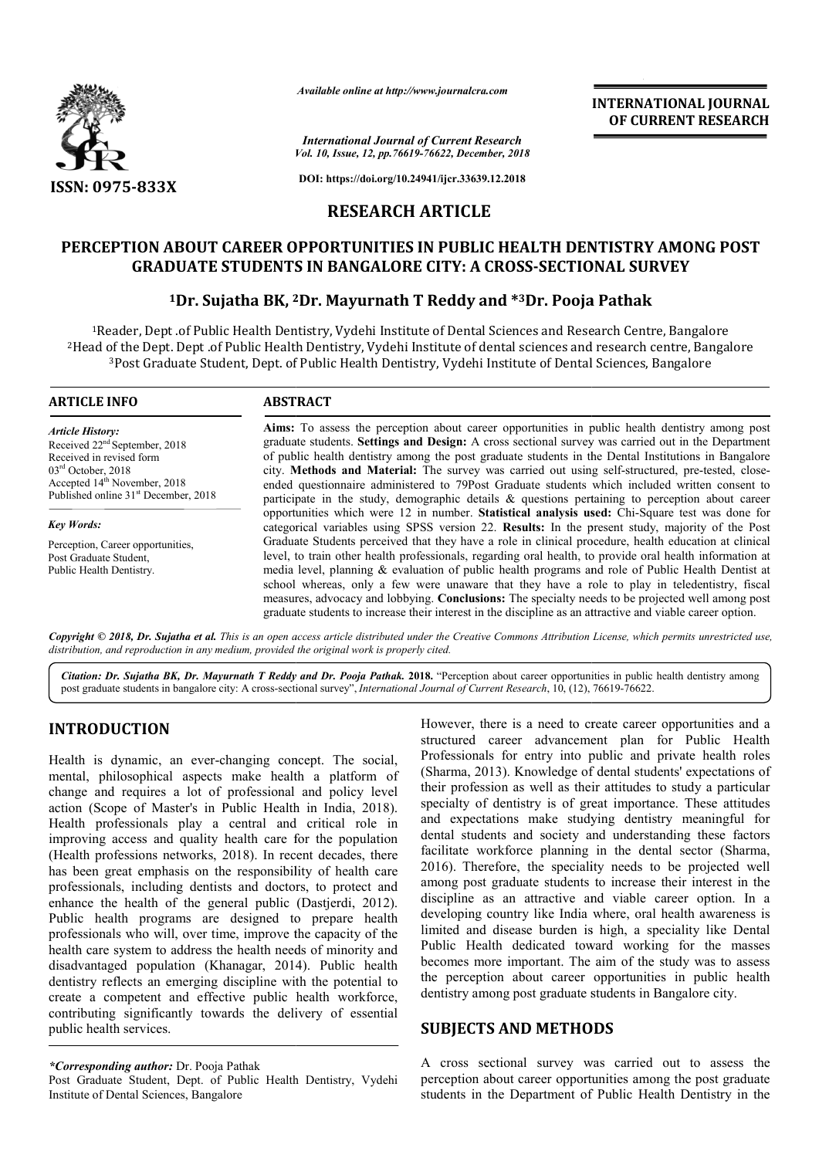

*Available online at http://www.journalcra.com*

*Vol. 10, Issue, 12, pp. pp.76619-76622, December, 2018 International Journal of Current Research*

**DOI: https://doi.org/10.24941/ijcr.33639.12.2018**

# **RESEARCH ARTICLE**

# PERCEPTION ABOUT CAREER OPPORTUNITIES IN PUBLIC HEALTH DENTISTRY AMONG POST<br>GRADUATE STUDENTS IN BANGALORE CITY: A CROSS-SECTIONAL SURVEY<br><sup>1</sup>Dr. Sujatha BK, <sup>2</sup>Dr. Mayurnath T Reddy and \*<sup>3</sup>Dr. Pooja Pathak **GRADUATE STUDENTS IN BANGALORE CITY: A CROSS-SECTIONAL SURVEY**

# **1Dr. Sujatha BK, 2 2Dr. Mayurnath T Reddy and \*3Dr. Pooja Pathak**

<sup>1</sup>Reader, Dept .of Public Health Dentistry, Vydehi Institute of Dental Sciences and Research Centre, Bangalore <sup>2</sup>Head of the Dept. Dept .of Public Health Dentistry, Vydehi Institute of dental sciences and research centre, Bai<br><sup>3</sup>Post Graduate Student, Dept. of Public Health Dentistry, Vydehi Institute of Dental Sciences, Bangalore Head of the Dept. Dept .of Public Health Dentistry, Vydehi Institute of dental sciences and research centre, Bangalore

#### **ARTICLE INFO ABSTRACT**

*Article History:* Received 22nd September, 2018 Received in revised form 03rd October, 2018 Accepted 14<sup>th</sup> November, 2018 Published online 31<sup>st</sup> December, 2018

*Key Words:* Perception, Career opportunities, Post Graduate Student, Public Health Dentistry.

**Aims:** To assess the perception about career opportunities in public health dentistry among post graduate students. **Settings and Design:** A cross sectional survey was carried out in the Department of public health dentistry among the post graduate students in the city. Methods and Material: The survey was carried out using self-structured, pre-tested, closeended questionnaire administered to 79Post Graduate students which included written consent to ended questionnaire administered to 79Post Graduate students which included written consent to participate in the study, demographic details  $\&$  questions pertaining to perception about career opportunities which were 12 in number. **Statistical analysis used:** Chi-Square test was done for categorical variables using SPSS version 22. **Results:** In the present study, majority of the Post Graduate Students perceived that they have a role in clinical procedure, health education at clinical level, to train other health professionals, regarding oral health, to provide oral health information at media level, planning & evaluation of public health programs and role of Public Health Dentist at school whereas, only a few were unaware that they have a role to play in teledentistry, fiscal measures, advocacy and lobbying. **Conclusions:** The specialty needs to be projected well among post graduate stud students to increase their interest in the discipline as an attractive and viable career option. Aims: To assess the perception about career opportunities in public health dentistry among post graduate students. Settings and Design: A cross sectional survey was carried out in the Department of public health dentistry Graduate Students perceived that they have a role in clinical procedure, health education at clinical level, to train other health professionals, regarding oral health, to provide oral health information at media level, pl

Copyright © 2018, Dr. Sujatha et al. This is an open access article distributed under the Creative Commons Attribution License, which permits unrestricted use, *distribution, and reproduction in any medium, provided the original work is properly cited.*

Citation: Dr. Sujatha BK, Dr. Mayurnath T Reddy and Dr. Pooja Pathak. 2018. "Perception about career opportunities in public health dentistry among<br>post graduate students in bangalore city: A cross-sectional survey", *Inte* post graduate students in bangalore city: A cross-sectional survey", *International Journal of Current Research*, 10, (12),

### **INTRODUCTION**

Health is dynamic, an ever-changing concept. The social, mental, philosophical aspects make health a platform of change and requires a lot of professional and policy level Health is dynamic, an ever-changing concept. The social, mental, philosophical aspects make health a platform of change and requires a lot of professional and policy level action (Scope of Master's in Public Health in Indi Health professionals play a central and critical role in improving access and quality health care for the population (Health professions networks, 2018). In recent decades, there has been great emphasis on the responsibility of health care professionals, including dentists and doctors, to protect and enhance the health of the general public (Dastjerdi, 2012). Public health programs are designed to prepare health professionals who will, over time, improve the capacity of the health care system to address the health needs of minority and disadvantaged population (Khanagar, 2014 , 2014). Public health dentistry reflects an emerging discipline with the potential to create a competent and effective public health workforce, contributing significantly towards the delivery of essential public health services. lity health care for the population<br>ks, 2018). In recent decades, there<br>on the responsibility of health care<br>entists and doctors, to protect and<br>e general public (Dastjerdi, 2012).

*\*Corresponding author:* Dr. Pooja Pathak

Post Graduate Student, Dept. of Public Health Dentistry, Vydehi Institute of Dental Sciences, Bangalore

However, there is a need to create career opportunities and a structured career advancement plan for Public Health Professionals for entry into public and private health roles (Sharma, 2013). Knowledge of dental students' expectations of their profession as well as their attitudes to study a particular specialty of dentistry is of great importance. These attitudes (Sharma, 2013). Knowledge of dental students' expectations of their profession as well as their attitudes to study a particular specialty of dentistry is of great importance. These attitudes and expectations make studying dental students and society and understanding these factors dental students and society and understanding these factors facilitate workforce planning in the dental sector (Sharma, 2016). Therefore, the speciality needs to be projected well 2016). Therefore, the speciality needs to be projected well among post graduate students to increase their interest in the discipline as an attractive and viable career option. In a developing country like India where, oral health awareness is limited and disease burden is high, a speciality like Dental Public Health dedicated toward working for the masses becomes more important. The aim of the study was the perception about career opportunities in public health the perception about career opportunities in public health dentistry among post graduate students in Bangalore city. However, there is a need to create career opportunities and a structured career advancement plan for Public Health Professionals for entry into public and private health roles try like India where, oral health awareness is<br>ease burden is high, a speciality like Dental<br>dedicated toward working for the masses<br>mportant. The aim of the study was to assess INTERNATIONAL JOURNAL<br>
2007<br>
Search<br>
2007 CURRENT RESEARCH<br>
2018<br>
21.2018<br>
21.2018<br>
21.2018<br>
21.2018<br>
21.2018<br>
21.2018<br>
21.2018<br>
21.2018<br>
21.2018<br>
21.2018<br>
21.2018<br>
22.2018<br>
22.2018<br>
22.2018<br>
22.2018<br>
22.2018<br>
22.2018<br>
22.

## **SUBJECTS AND METHODS SUBJECTS AND METHODS**

A cross sectional survey was carried out to assess the perception about career opportunities among the post graduate students in the Department of Public Health Dentistry in the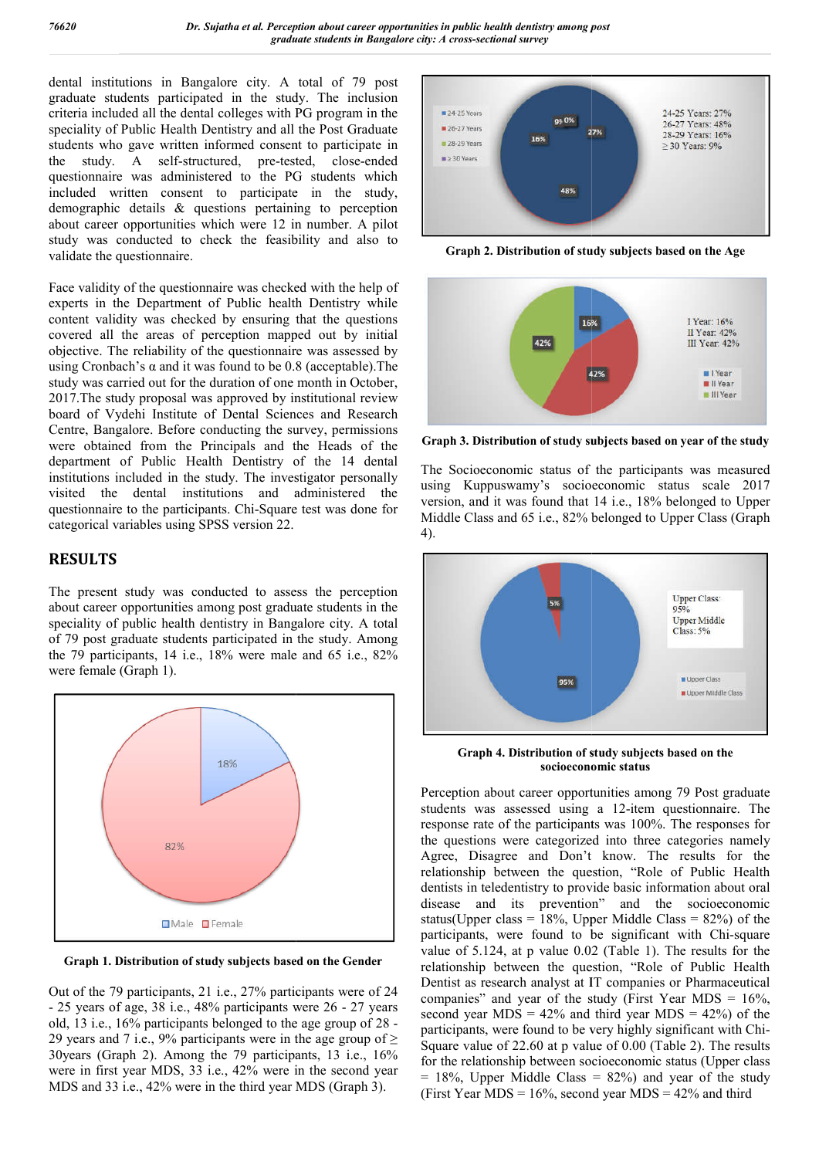dental institutions in Bangalore city. A total of 79 post graduate students participated in the study. The inclusion criteria included all the dental colleges with PG program in the speciality of Public Health Dentistry and all the Post Graduate students who gave written informed consent to participate in the study. A self-structured, pre-tested, close questionnaire was administered to the PG students which included written consent to participate in the study, demographic details & questions pertaining to perception about career opportunities which were 12 in number. A pilot study was conducted to check the feasibility and also to validate the questionnaire. Bangalore city. A total of 79 post<br>rticipated in the study. The inclusion<br>e dental colleges with PG program in the<br>ealth Dentistry and all the Post Graduate<br>ritten informed consent to participate in<br>lf-structured, pre-test

Face validity of the questionnaire was checked with the help of experts in the Department of Public health Dentistry while content validity was checked by ensuring that the questions covered all the areas of perception mapped out by initial objective. The reliability of the questionnaire was assessed by using Cronbach's  $\alpha$  and it was found to be 0.8 (acceptable). The study was carried out for the duration of one month in October, 2017.The study proposal was approved by institutional review board of Vydehi Institute of Dental Sciences and Research Centre, Bangalore. Before conducting the survey, permissions were obtained from the Principals and the Heads of the department of Public Health Dentistry of the 14 dental institutions included in the study. The investigator personally visited the dental institutions and administered the questionnaire to the participants. Chi-Square test was done for categorical variables using SPSS version 22. udy was conducted to check the feasibility and also to<br>alidate the questionnaire.<br>ace validity of the questionnaire was checked with the help of<br>xperts in the Department of Public health Dentistry while<br>ontent validity was

#### **RESULTS**

The present study was conducted to assess the perception about career opportunities among post graduate students in the speciality of public health dentistry in Bangalore city. A total of 79 post graduate students participated in the study. Among the 79 participants, 14 i.e., 18% were male and 65 i.e., 82% were female (Graph 1). Square test was done for<br>on 22.<br>o assess the perception<br>t graduate students in the<br>n Bangalore city. A total<br>tted in the study. Among



**Graph 1. Distribution of study subjects based on the Gender**

Out of the 79 participants, 21 i.e., 27% participants were of 24 - 25 years of age, 38 i.e., 48% participants were 26 - 27 years old, 13 i.e., 16% participants belonged to the age group of 28 - 29 years and 7 i.e., 9% participants were in the age group of  $\geq$ 30years (Graph 2). Among the 79 participants, 13 i.e., 16% were in first year MDS, 33 i.e., 42% were in the second year MDS and 33 i.e., 42% were in the third year MDS (Graph 3).



**Graph 2. Distribution of study subjects based on the Age**



**Graph 3. Distribution of study subjects based on year of the study**

The Socioeconomic status of the participants was measured using Kuppuswamy's socioeconomic status scale 2017 version, and it was found that 14 i.e., 18% belonged to Upper using Kuppuswamy's socioeconomic status scale 2017<br>version, and it was found that 14 i.e., 18% belonged to Upper<br>Middle Class and 65 i.e., 82% belonged to Upper Class (Graph 4).



Graph 4. Distribution of study subjects based on the **socioeconomic status**

Perception about career opportunities among 79 Post graduate Perception about career opportunities among 79 Post graduate students was assessed using a 12-item questionnaire. The response rate of the participants was 100%. The responses for the questions were categorized into three categories namely the questions were categorized into three categor Agree, Disagree and Don't know. The results for the relationship between the question, "Role of Public Health dentists in teledentistry to provide basic information about oral disease and its prevention" and the socioeconomic status(Upper class =  $18\%$ , Upper Middle Class =  $82\%$ ) of the disease and its prevention" and the socioeconomic status(Upper class =  $18\%$ , Upper Middle Class =  $82\%$ ) of the participants, were found to be significant with Chi-square value of 5.124, at p value 0.02 (Table 1). The results for the relationship between the question, "Role of Public Health Dentist as research analyst at IT companies or Pharmaceutical companies" and year of the study (First Year MDS =  $16\%,$ second year MDS =  $42\%$  and third year MDS =  $42\%$ ) of the participants, were found to be very highly significant with Chi Square value of  $22.60$  at p value of  $0.00$  (Table 2). The results for the relationship between socioeconomic status (Upper class  $= 18\%$ . Upper Middle Class  $= 82\%$  and year of the study (First Year MDS =  $16\%$ , second year MDS =  $42\%$  and third ies" and year of the study (First Year MDS =  $16\%$ , year MDS =  $42\%$  and third year MDS =  $42\%$ ) of the ants, were found to be very highly significant with Chiabout the energy point and he health health health and point is a second year. The inclusion of the state of the state of the state of the state of the state of the state of the state of the state of the state of the state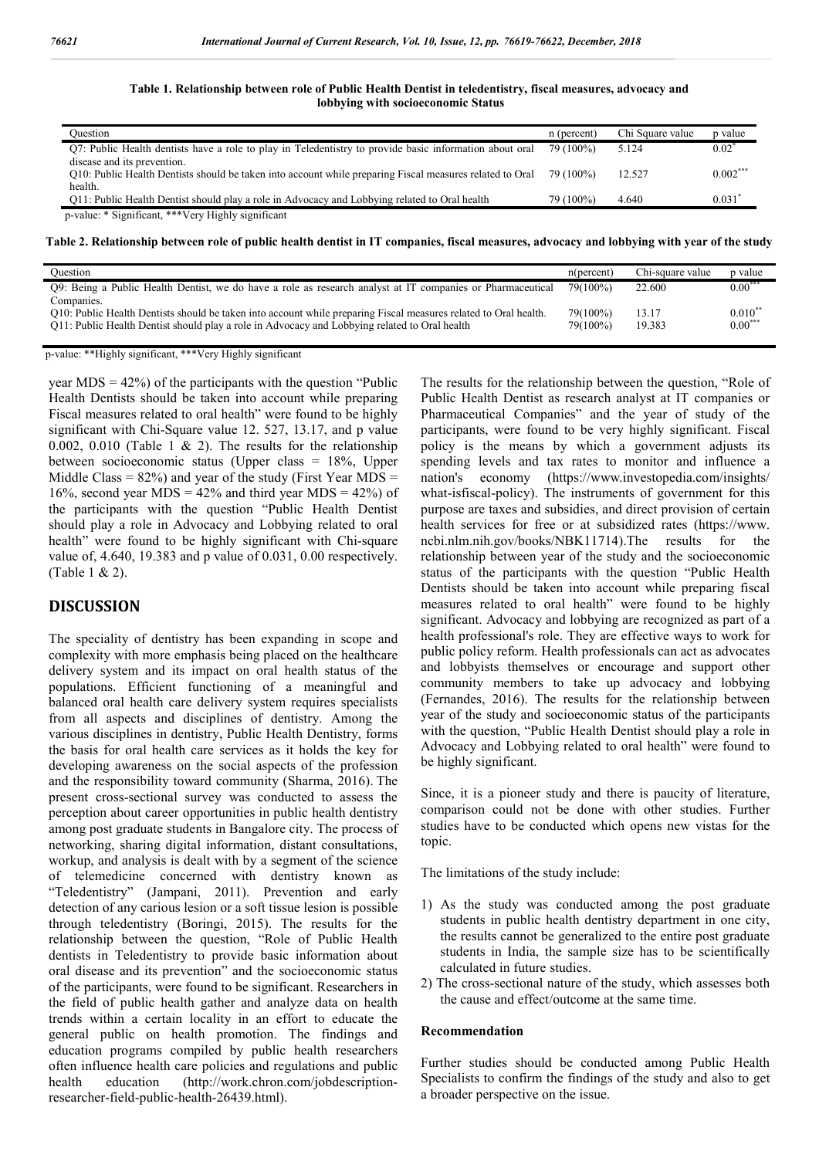**Table 1. Relationship between role of Public Health Dentist in teledentistry, fiscal measures, advocacy and lobbying with socioeconomic Status**

| Ouestion                                                                                                                                           | n (percent) | Chi Square value | p value    |
|----------------------------------------------------------------------------------------------------------------------------------------------------|-------------|------------------|------------|
| O.7: Public Health dentists have a role to play in Teledentistry to provide basic information about oral                                           | 79 (100%)   | 5.124            | $0.02^*$   |
| disease and its prevention.<br>O10: Public Health Dentists should be taken into account while preparing Fiscal measures related to Oral<br>health. | 79 (100%)   | 12.527           | $0.002***$ |
| Q11: Public Health Dentist should play a role in Advocacy and Lobbying related to Oral health                                                      | 79 (100%)   | 4.640            | 0.031      |
| p-value: * Significant, *** Very Highly significant                                                                                                |             |                  |            |

**Table 2. Relationship between role of public health dentist in IT companies, fiscal measures, advocacy and lobbying with year of the study**

| Ouestion                                                                                                                                                                                                                        | n(percent)           | Chi-square value | p value                |
|---------------------------------------------------------------------------------------------------------------------------------------------------------------------------------------------------------------------------------|----------------------|------------------|------------------------|
| Q9: Being a Public Health Dentist, we do have a role as research analyst at IT companies or Pharmaceutical                                                                                                                      | 79(100%)             | 22.600           | $0.00***$              |
| Companies.<br>O10: Public Health Dentists should be taken into account while preparing Fiscal measures related to Oral health.<br>Q11: Public Health Dentist should play a role in Advocacy and Lobbying related to Oral health | 79(100%)<br>79(100%) | 13.17<br>19.383  | $0.010^*$<br>$0.00***$ |

p-value: \*\*Highly significant, \*\*\*Very Highly significant

year  $MDS = 42\%$ ) of the participants with the question "Public Health Dentists should be taken into account while preparing Fiscal measures related to oral health" were found to be highly significant with Chi-Square value 12. 527, 13.17, and p value 0.002, 0.010 (Table 1  $\&$  2). The results for the relationship between socioeconomic status (Upper class = 18%, Upper Middle Class =  $82\%$ ) and year of the study (First Year MDS = 16%, second year MDS =  $42\%$  and third year MDS =  $42\%$ ) of the participants with the question "Public Health Dentist should play a role in Advocacy and Lobbying related to oral health" were found to be highly significant with Chi-square value of, 4.640, 19.383 and p value of 0.031, 0.00 respectively. (Table 1 & 2).

#### **DISCUSSION**

The speciality of dentistry has been expanding in scope and complexity with more emphasis being placed on the healthcare delivery system and its impact on oral health status of the populations. Efficient functioning of a meaningful and balanced oral health care delivery system requires specialists from all aspects and disciplines of dentistry. Among the various disciplines in dentistry, Public Health Dentistry, forms the basis for oral health care services as it holds the key for developing awareness on the social aspects of the profession and the responsibility toward community (Sharma, 2016). The present cross-sectional survey was conducted to assess the perception about career opportunities in public health dentistry among post graduate students in Bangalore city. The process of networking, sharing digital information, distant consultations, workup, and analysis is dealt with by a segment of the science of telemedicine concerned with dentistry known as "Teledentistry" (Jampani, 2011). Prevention and early detection of any carious lesion or a soft tissue lesion is possible through teledentistry (Boringi, 2015). The results for the relationship between the question, "Role of Public Health dentists in Teledentistry to provide basic information about oral disease and its prevention" and the socioeconomic status of the participants, were found to be significant. Researchers in the field of public health gather and analyze data on health trends within a certain locality in an effort to educate the general public on health promotion. The findings and education programs compiled by public health researchers often influence health care policies and regulations and public health education (http://work.chron.com/jobdescriptionresearcher-field-public-health-26439.html).

The results for the relationship between the question, "Role of Public Health Dentist as research analyst at IT companies or Pharmaceutical Companies" and the year of study of the participants, were found to be very highly significant. Fiscal policy is the means by which a government adjusts its spending levels and tax rates to monitor and influence a nation's economy (https://www.investopedia.com/insights/ what-isfiscal-policy). The instruments of government for this purpose are taxes and subsidies, and direct provision of certain health services for free or at subsidized rates (https://www. ncbi.nlm.nih.gov/books/NBK11714).The results for the relationship between year of the study and the socioeconomic status of the participants with the question "Public Health Dentists should be taken into account while preparing fiscal measures related to oral health" were found to be highly significant. Advocacy and lobbying are recognized as part of a health professional's role. They are effective ways to work for public policy reform. Health professionals can act as advocates and lobbyists themselves or encourage and support other community members to take up advocacy and lobbying (Fernandes, 2016). The results for the relationship between year of the study and socioeconomic status of the participants with the question, "Public Health Dentist should play a role in Advocacy and Lobbying related to oral health" were found to be highly significant.

Since, it is a pioneer study and there is paucity of literature, comparison could not be done with other studies. Further studies have to be conducted which opens new vistas for the topic.

The limitations of the study include:

- 1) As the study was conducted among the post graduate students in public health dentistry department in one city, the results cannot be generalized to the entire post graduate students in India, the sample size has to be scientifically calculated in future studies.
- 2) The cross-sectional nature of the study, which assesses both the cause and effect/outcome at the same time.

#### **Recommendation**

Further studies should be conducted among Public Health Specialists to confirm the findings of the study and also to get a broader perspective on the issue.